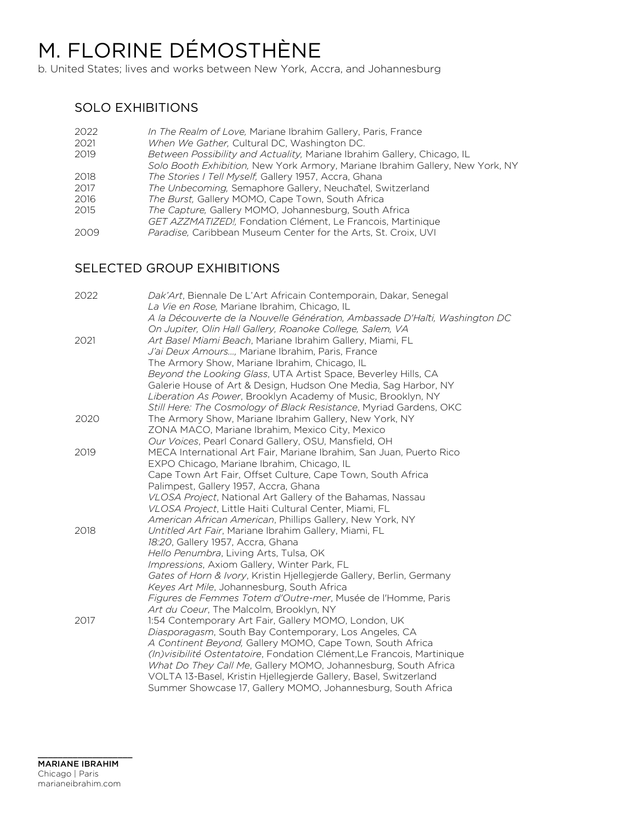# M. FLORINE DÉMOSTHÈNE

b. United States; lives and works between New York, Accra, and Johannesburg

### SOLO EXHIBITIONS

| 2022 | In The Realm of Love, Mariane Ibrahim Gallery, Paris, France                  |
|------|-------------------------------------------------------------------------------|
| 2021 | When We Gather, Cultural DC, Washington DC.                                   |
| 2019 | Between Possibility and Actuality, Mariane Ibrahim Gallery, Chicago, IL       |
|      | Solo Booth Exhibition, New York Armory, Mariane Ibrahim Gallery, New York, NY |
| 2018 | The Stories I Tell Myself, Gallery 1957, Accra, Ghana                         |
| 2017 | The Unbecoming, Semaphore Gallery, Neuchatel, Switzerland                     |
| 2016 | The Burst, Gallery MOMO, Cape Town, South Africa                              |
| 2015 | The Capture, Gallery MOMO, Johannesburg, South Africa                         |
|      | GET AZZMATIZED!, Fondation Clément, Le Francois, Martinique                   |
| 2009 | <i>Paradise</i> , Caribbean Museum Center for the Arts, St. Croix, UVI        |

## SELECTED GROUP EXHIBITIONS

| 2022 | <i>Dak'Art</i> , Biennale De L'Art Africain Contemporain, Dakar, Senegal                                                    |
|------|-----------------------------------------------------------------------------------------------------------------------------|
|      | La Vie en Rose, Mariane Ibrahim, Chicago, IL<br>A la Découverte de la Nouvelle Génération, Ambassade D'Haïti, Washington DC |
|      | On Jupiter, Olin Hall Gallery, Roanoke College, Salem, VA                                                                   |
| 2021 | Art Basel Miami Beach, Mariane Ibrahim Gallery, Miami, FL                                                                   |
|      | J'ai Deux Amours, Mariane Ibrahim, Paris, France                                                                            |
|      | The Armory Show, Mariane Ibrahim, Chicago, IL                                                                               |
|      |                                                                                                                             |
|      | Beyond the Looking Glass, UTA Artist Space, Beverley Hills, CA                                                              |
|      | Galerie House of Art & Design, Hudson One Media, Sag Harbor, NY                                                             |
|      | Liberation As Power, Brooklyn Academy of Music, Brooklyn, NY                                                                |
|      | Still Here: The Cosmology of Black Resistance, Myriad Gardens, OKC                                                          |
| 2020 | The Armory Show, Mariane Ibrahim Gallery, New York, NY                                                                      |
|      | ZONA MACO, Mariane Ibrahim, Mexico City, Mexico                                                                             |
|      | Our Voices, Pearl Conard Gallery, OSU, Mansfield, OH                                                                        |
| 2019 | MECA International Art Fair, Mariane Ibrahim, San Juan, Puerto Rico                                                         |
|      | EXPO Chicago, Mariane Ibrahim, Chicago, IL                                                                                  |
|      | Cape Town Art Fair, Offset Culture, Cape Town, South Africa                                                                 |
|      | Palimpest, Gallery 1957, Accra, Ghana                                                                                       |
|      | VLOSA Project, National Art Gallery of the Bahamas, Nassau                                                                  |
|      | VLOSA Project, Little Haiti Cultural Center, Miami, FL                                                                      |
|      | American African American, Phillips Gallery, New York, NY                                                                   |
| 2018 | Untitled Art Fair, Mariane Ibrahim Gallery, Miami, FL                                                                       |
|      | 18:20, Gallery 1957, Accra, Ghana                                                                                           |
|      | Hello Penumbra, Living Arts, Tulsa, OK                                                                                      |
|      | Impressions, Axiom Gallery, Winter Park, FL                                                                                 |
|      | Gates of Horn & Ivory, Kristin Hjellegjerde Gallery, Berlin, Germany                                                        |
|      | Keyes Art Mile, Johannesburg, South Africa                                                                                  |
|      | Figures de Femmes Totem d'Outre-mer, Musée de l'Homme, Paris                                                                |
|      | Art du Coeur, The Malcolm, Brooklyn, NY                                                                                     |
| 2017 | 1:54 Contemporary Art Fair, Gallery MOMO, London, UK                                                                        |
|      | Diasporagasm, South Bay Contemporary, Los Angeles, CA                                                                       |
|      | A Continent Beyond, Gallery MOMO, Cape Town, South Africa                                                                   |
|      | (In) visibilité Ostentatoire, Fondation Clément, Le Francois, Martinique                                                    |
|      | What Do They Call Me, Gallery MOMO, Johannesburg, South Africa                                                              |
|      | VOLTA 13-Basel, Kristin Hjellegjerde Gallery, Basel, Switzerland                                                            |
|      | Summer Showcase 17, Gallery MOMO, Johannesburg, South Africa                                                                |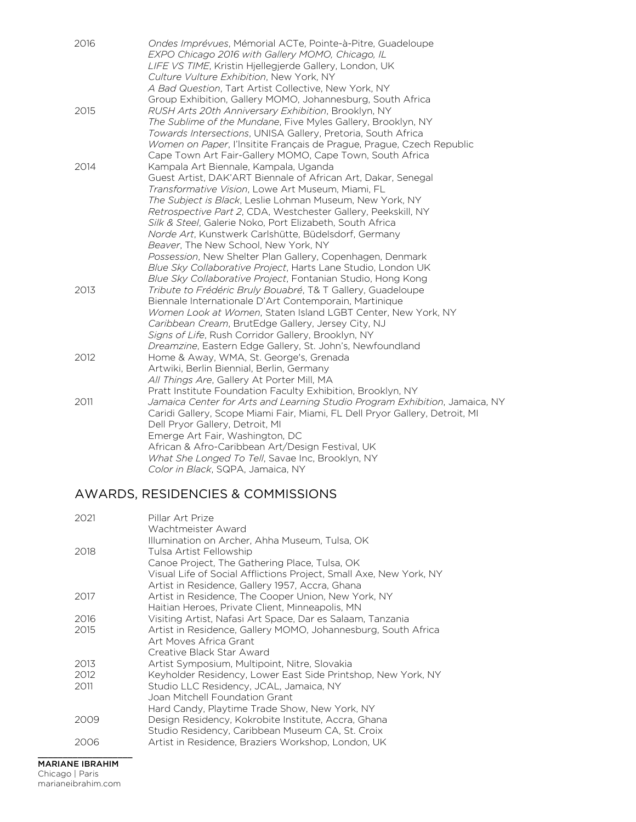| 2016 | Ondes Imprévues, Mémorial ACTe, Pointe-à-Pitre, Guadeloupe<br>EXPO Chicago 2016 with Gallery MOMO, Chicago, IL |
|------|----------------------------------------------------------------------------------------------------------------|
|      | LIFE VS TIME, Kristin Hjellegjerde Gallery, London, UK                                                         |
|      | Culture Vulture Exhibition, New York, NY                                                                       |
|      | A Bad Question, Tart Artist Collective, New York, NY                                                           |
|      | Group Exhibition, Gallery MOMO, Johannesburg, South Africa                                                     |
| 2015 | RUSH Arts 20th Anniversary Exhibition, Brooklyn, NY                                                            |
|      | The Sublime of the Mundane, Five Myles Gallery, Brooklyn, NY                                                   |
|      | Towards Intersections, UNISA Gallery, Pretoria, South Africa                                                   |
|      | Women on Paper, l'Insitite Français de Prague, Prague, Czech Republic                                          |
|      | Cape Town Art Fair-Gallery MOMO, Cape Town, South Africa                                                       |
| 2014 | Kampala Art Biennale, Kampala, Uganda                                                                          |
|      | Guest Artist, DAK'ART Biennale of African Art, Dakar, Senegal                                                  |
|      | Transformative Vision, Lowe Art Museum, Miami, FL                                                              |
|      | The Subject is Black, Leslie Lohman Museum, New York, NY                                                       |
|      | Retrospective Part 2, CDA, Westchester Gallery, Peekskill, NY                                                  |
|      | Silk & Steel, Galerie Noko, Port Elizabeth, South Africa                                                       |
|      | Norde Art, Kunstwerk Carlshütte, Büdelsdorf, Germany                                                           |
|      | Beaver, The New School, New York, NY                                                                           |
|      | Possession, New Shelter Plan Gallery, Copenhagen, Denmark                                                      |
|      | Blue Sky Collaborative Project, Harts Lane Studio, London UK                                                   |
|      | Blue Sky Collaborative Project, Fontanian Studio, Hong Kong                                                    |
| 2013 | Tribute to Frédéric Bruly Bouabré, T& T Gallery, Guadeloupe                                                    |
|      | Biennale Internationale D'Art Contemporain, Martinique                                                         |
|      | Women Look at Women, Staten Island LGBT Center, New York, NY                                                   |
|      | Caribbean Cream, BrutEdge Gallery, Jersey City, NJ                                                             |
|      | Signs of Life, Rush Corridor Gallery, Brooklyn, NY                                                             |
|      | Dreamzine, Eastern Edge Gallery, St. John's, Newfoundland                                                      |
| 2012 | Home & Away, WMA, St. George's, Grenada                                                                        |
|      | Artwiki, Berlin Biennial, Berlin, Germany                                                                      |
|      | All Things Are, Gallery At Porter Mill, MA                                                                     |
|      | Pratt Institute Foundation Faculty Exhibition, Brooklyn, NY                                                    |
| 2011 | Jamaica Center for Arts and Learning Studio Program Exhibition, Jamaica, NY                                    |
|      | Caridi Gallery, Scope Miami Fair, Miami, FL Dell Pryor Gallery, Detroit, MI                                    |
|      | Dell Pryor Gallery, Detroit, MI                                                                                |
|      | Emerge Art Fair, Washington, DC                                                                                |
|      | African & Afro-Caribbean Art/Design Festival, UK                                                               |
|      | What She Longed To Tell, Savae Inc, Brooklyn, NY                                                               |
|      | Color in Black, SQPA, Jamaica, NY                                                                              |

# AWARDS, RESIDENCIES & COMMISSIONS

| Illumination on Archer, Ahha Museum, Tulsa, OK<br>2018<br>Tulsa Artist Fellowship                                   |  |
|---------------------------------------------------------------------------------------------------------------------|--|
| Canoe Project, The Gathering Place, Tulsa, OK<br>Visual Life of Social Afflictions Project, Small Axe, New York, NY |  |
| Artist in Residence, Gallery 1957, Accra, Ghana                                                                     |  |
| Artist in Residence, The Cooper Union, New York, NY<br>2017                                                         |  |
| Haitian Heroes, Private Client, Minneapolis, MN                                                                     |  |
| Visiting Artist, Nafasi Art Space, Dar es Salaam, Tanzania<br>2016                                                  |  |
| 2015<br>Artist in Residence, Gallery MOMO, Johannesburg, South Africa                                               |  |
| Art Moves Africa Grant                                                                                              |  |
| Creative Black Star Award                                                                                           |  |
| Artist Symposium, Multipoint, Nitre, Slovakia<br>2013                                                               |  |
| 2012<br>Keyholder Residency, Lower East Side Printshop, New York, NY                                                |  |
| 2011<br>Studio LLC Residency, JCAL, Jamaica, NY                                                                     |  |
| Joan Mitchell Foundation Grant                                                                                      |  |
| Hard Candy, Playtime Trade Show, New York, NY                                                                       |  |
| Design Residency, Kokrobite Institute, Accra, Ghana<br>2009                                                         |  |
| Studio Residency, Caribbean Museum CA, St. Croix                                                                    |  |
| 2006<br>Artist in Residence, Braziers Workshop, London, UK                                                          |  |